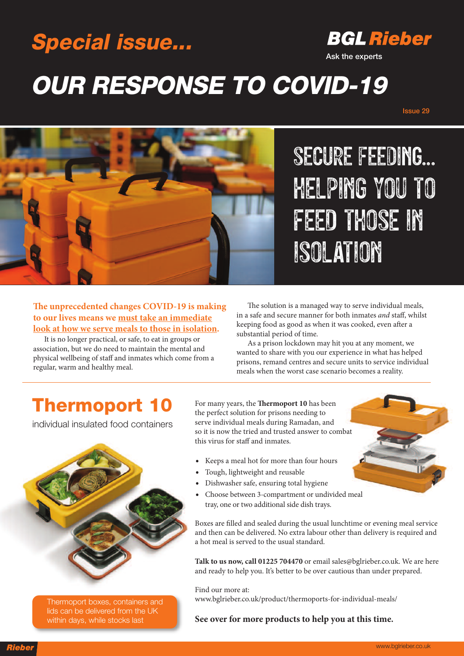## **Special issue...**

### **BGL Rieber**

**Ask the experts**

# **OUR RESPONSE TO COVID-19**

**Issue 29**



SECURE FEEDING... HELPING YOU TO FEED THOSE IN ISOLATION

**e unprecedented changes COVID-19 is making to our lives means we must take an immediate look at how we serve meals to those in isolation.**

It is no longer practical, or safe, to eat in groups or association, but we do need to maintain the mental and physical wellbeing of staff and inmates which come from a regular, warm and healthy meal.

The solution is a managed way to serve individual meals, in a safe and secure manner for both inmates *and* staff, whilst keeping food as good as when it was cooked, even after a substantial period of time.

As a prison lockdown may hit you at any moment, we wanted to share with you our experience in what has helped prisons, remand centres and secure units to service individual meals when the worst case scenario becomes a reality.

#### **Thermoport 10**

individual insulated food containers



Thermoport boxes, containers and lids can be delivered from the UK within days, while stocks last

For many years, the **Thermoport 10** has been the perfect solution for prisons needing to serve individual meals during Ramadan, and so it is now the tried and trusted answer to combat this virus for staff and inmates.

- Keeps a meal hot for more than four hours
- Tough, lightweight and reusable
- Dishwasher safe, ensuring total hygiene
- Choose between 3-compartment or undivided meal tray, one or two additional side dish trays.

Boxes are filled and sealed during the usual lunchtime or evening meal service and then can be delivered. No extra labour other than delivery is required and a hot meal is served to the usual standard.

**Talk to us now, call 01225 704470** or email sales@bglrieber.co.uk. We are here and ready to help you. It's better to be over cautious than under prepared.

Find our more at: www.bglrieber.co.uk/product/thermoports-for-individual-meals/

**See over for more products to help you at this time.**